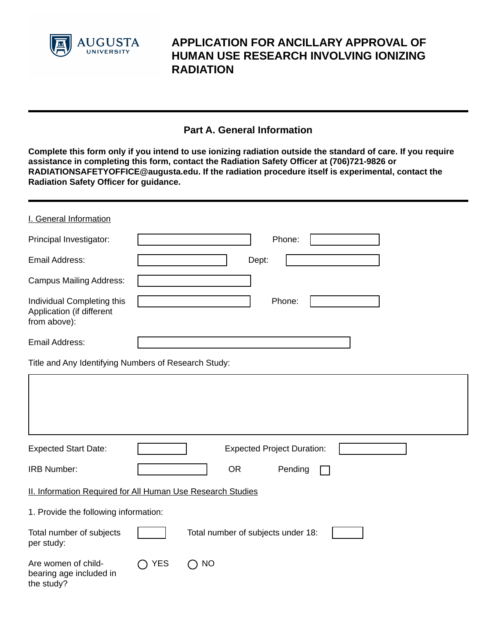

# **APPLICATION FOR ANCILLARY APPROVAL OF HUMAN USE RESEARCH INVOLVING IONIZING RADIATION**

# **Part A. General Information**

**Complete this form only if you intend to use ionizing radiation outside the standard of care. If you require assistance in completing this form, contact the Radiation Safety Officer at (706)721-9826 or RADIATIONSAFETYOFFICE@augusta.edu. If the radiation procedure itself is experimental, contact the Radiation Safety Officer for guidance.** 

| I. General Information                                                  |                                                             |  |
|-------------------------------------------------------------------------|-------------------------------------------------------------|--|
| Principal Investigator:                                                 | Phone:                                                      |  |
| Email Address:                                                          | Dept:                                                       |  |
| <b>Campus Mailing Address:</b>                                          |                                                             |  |
| Individual Completing this<br>Application (if different<br>from above): | Phone:                                                      |  |
| Email Address:                                                          |                                                             |  |
| Title and Any Identifying Numbers of Research Study:                    |                                                             |  |
|                                                                         |                                                             |  |
| <b>Expected Start Date:</b>                                             | <b>Expected Project Duration:</b>                           |  |
| <b>IRB Number:</b>                                                      | <b>OR</b><br>Pending                                        |  |
|                                                                         | II. Information Required for All Human Use Research Studies |  |
| 1. Provide the following information:                                   |                                                             |  |
| Total number of subjects<br>per study:                                  | Total number of subjects under 18:                          |  |
| Are women of child-<br>bearing age included in<br>the study?            | <b>YES</b><br><b>NO</b><br>Ω                                |  |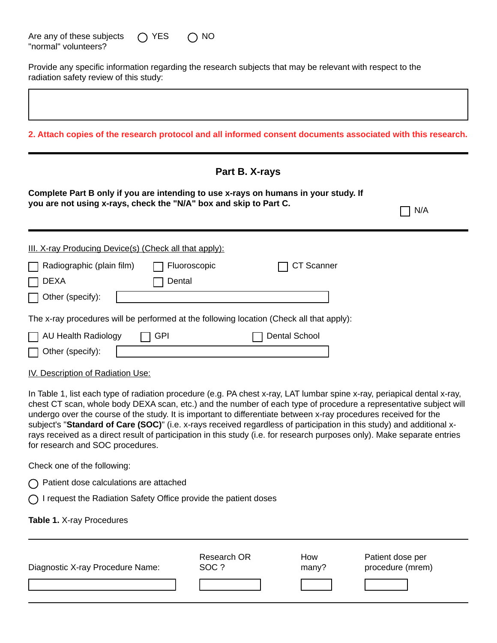| Are any of these subjects | $\bigcap$ YES | $\bigcirc$ NO |
|---------------------------|---------------|---------------|
| "normal" volunteers?      |               |               |

Provide any specific information regarding the research subjects that may be relevant with respect to the radiation safety review of this study:

**2. Attach copies of the research protocol and all informed consent documents associated with this research. Part B. X-rays Complete Part B only if you are intending to use x-rays on humans in your study. If you are not using x-rays, check the "N/A" box and skip to Part C.**  $\Box$  N/A III. X-ray Producing Device(s) (Check all that apply): T Radiographic (plain film) □ Fluoroscopic CT Scanner DEXA Dental Other (specify): The x-ray procedures will be performed at the following location (Check all that apply): AU Health Radiology GPI Dental School Other (specify):

IV. Description of Radiation Use:

In Table 1, list each type of radiation procedure (e.g. PA chest x-ray, LAT lumbar spine x-ray, periapical dental x-ray, chest CT scan, whole body DEXA scan, etc.) and the number of each type of procedure a representative subject will undergo over the course of the study. It is important to differentiate between x-ray procedures received for the subject's "**Standard of Care (SOC)**" (i.e. x-rays received regardless of participation in this study) and additional xrays received as a direct result of participation in this study (i.e. for research purposes only). Make separate entries for research and SOC procedures.

Check one of the following:

 $\bigcap$  Patient dose calculations are attached

 $\bigcap$  I request the Radiation Safety Office provide the patient doses

**Table 1.** X-ray Procedures

| Diagnostic X-ray Procedure Name: | Research OR | How   | Patient dose per |
|----------------------------------|-------------|-------|------------------|
|                                  | SOC ?       | many? | procedure (mrem) |
|                                  |             |       |                  |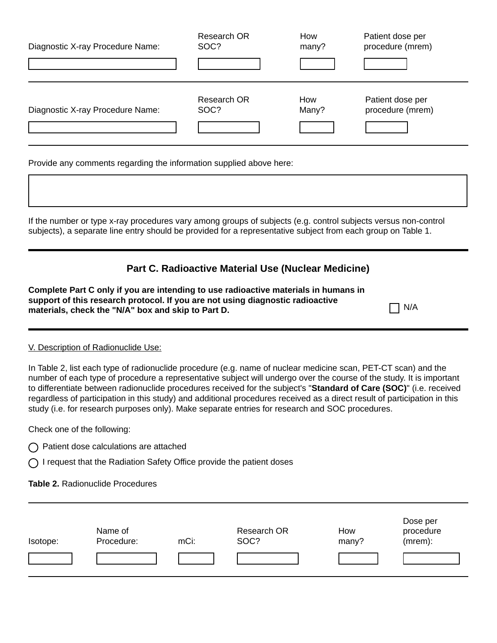| Diagnostic X-ray Procedure Name: | Research OR                                 | How          | Patient dose per                     |
|----------------------------------|---------------------------------------------|--------------|--------------------------------------|
|                                  | SOC?                                        | many?        | procedure (mrem)                     |
| Diagnostic X-ray Procedure Name: | Research OR<br>SOC?<br>$\blacktriangledown$ | How<br>Many? | Patient dose per<br>procedure (mrem) |

Provide any comments regarding the information supplied above here:

If the number or type x-ray procedures vary among groups of subjects (e.g. control subjects versus non-control subjects), a separate line entry should be provided for a representative subject from each group on Table 1.

### **Part C. Radioactive Material Use (Nuclear Medicine)**

| Complete Part C only if you are intending to use radioactive materials in humans in |            |
|-------------------------------------------------------------------------------------|------------|
| support of this research protocol. If you are not using diagnostic radioactive      |            |
| materials, check the "N/A" box and skip to Part D.                                  | $\Box$ N/A |

#### V. Description of Radionuclide Use:

In Table 2, list each type of radionuclide procedure (e.g. name of nuclear medicine scan, PET-CT scan) and the number of each type of procedure a representative subject will undergo over the course of the study. It is important to differentiate between radionuclide procedures received for the subject's "**Standard of Care (SOC)**" (i.e. received regardless of participation in this study) and additional procedures received as a direct result of participation in this study (i.e. for research purposes only). Make separate entries for research and SOC procedures.

Check one of the following:

- $\bigcap$  Patient dose calculations are attached
- $\bigcap$  I request that the Radiation Safety Office provide the patient doses

**Table 2.** Radionuclide Procedures

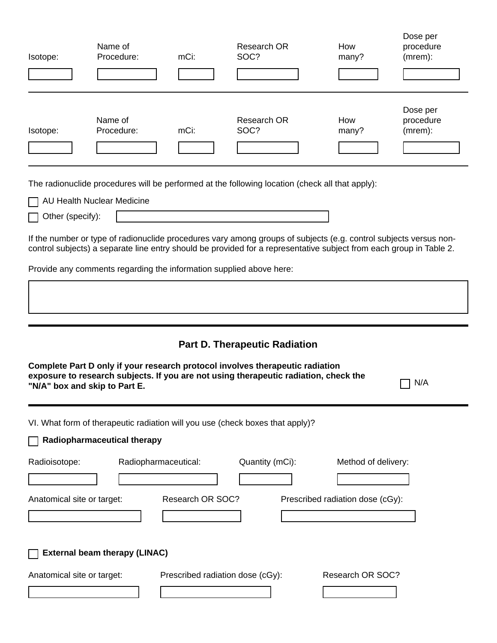| Isotope: | Name of<br>Procedure: | mCi: | Research OR<br>SOC?                                                                             | How<br>many? | Dose per<br>procedure<br>(mrem): |
|----------|-----------------------|------|-------------------------------------------------------------------------------------------------|--------------|----------------------------------|
|          |                       |      |                                                                                                 |              |                                  |
| Isotope: | Name of<br>Procedure: | mCi: | Research OR<br>SOC?                                                                             | How<br>many? | Dose per<br>procedure<br>(mrem): |
|          |                       |      |                                                                                                 |              |                                  |
|          |                       |      | The radionuclide procedures will be performed at the following location (check all that apply): |              |                                  |

AU Health Nuclear Medicine

Other (specify):

If the number or type of radionuclide procedures vary among groups of subjects (e.g. control subjects versus noncontrol subjects) a separate line entry should be provided for a representative subject from each group in Table 2.

Provide any comments regarding the information supplied above here:

# **Part D. Therapeutic Radiation**

| Complete Part D only if your research protocol involves therapeutic radiation<br>exposure to research subjects. If you are not using therapeutic radiation, check the<br>N/A<br>"N/A" box and skip to Part E. |                                          |                 |                                                         |  |
|---------------------------------------------------------------------------------------------------------------------------------------------------------------------------------------------------------------|------------------------------------------|-----------------|---------------------------------------------------------|--|
| VI. What form of therapeutic radiation will you use (check boxes that apply)?<br>Radiopharmaceutical therapy                                                                                                  |                                          |                 |                                                         |  |
| Radioisotope:<br>Anatomical site or target:                                                                                                                                                                   | Radiopharmaceutical:<br>Research OR SOC? | Quantity (mCi): | Method of delivery:<br>Prescribed radiation dose (cGy): |  |
| <b>External beam therapy (LINAC)</b>                                                                                                                                                                          |                                          |                 |                                                         |  |
| Anatomical site or target:                                                                                                                                                                                    | Prescribed radiation dose (cGy):         |                 | Research OR SOC?                                        |  |